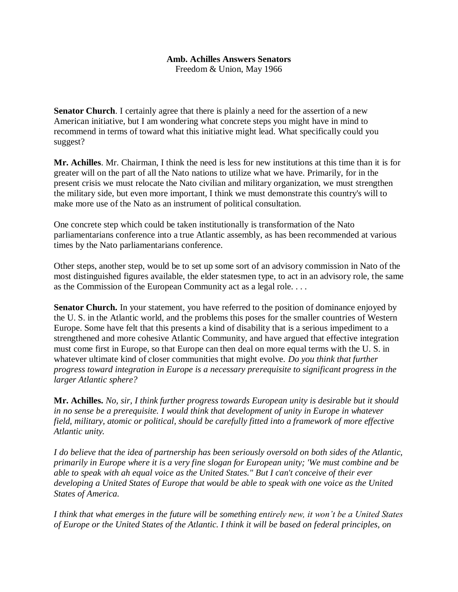## **Amb. Achilles Answers Senators**

Freedom & Union, May 1966

**Senator Church**. I certainly agree that there is plainly a need for the assertion of a new American initiative, but I am wondering what concrete steps you might have in mind to recommend in terms of toward what this initiative might lead. What specifically could you suggest?

**Mr. Achilles**. Mr. Chairman, I think the need is less for new institutions at this time than it is for greater will on the part of all the Nato nations to utilize what we have. Primarily, for in the present crisis we must relocate the Nato civilian and military organization, we must strengthen the military side, but even more important, I think we must demonstrate this country's will to make more use of the Nato as an instrument of political consultation.

One concrete step which could be taken institutionally is transformation of the Nato parliamentarians conference into a true Atlantic assembly, as has been recommended at various times by the Nato parliamentarians conference.

Other steps, another step, would be to set up some sort of an advisory commission in Nato of the most distinguished figures available, the elder statesmen type, to act in an advisory role, the same as the Commission of the European Community act as a legal role. . . .

**Senator Church.** In your statement, you have referred to the position of dominance enjoyed by the U. S. in the Atlantic world, and the problems this poses for the smaller countries of Western Europe. Some have felt that this presents a kind of disability that is a serious impediment to a strengthened and more cohesive Atlantic Community, and have argued that effective integration must come first in Europe, so that Europe can then deal on more equal terms with the U. S. in whatever ultimate kind of closer communities that might evolve. *Do you think that further progress toward integration in Europe is a necessary prerequisite to significant progress in the larger Atlantic sphere?*

**Mr. Achilles.** *No, sir, I think further progress towards European unity is desirable but it should in no sense be a prerequisite. I would think that development of unity in Europe in whatever field, military, atomic or political, should be carefully fitted into a framework of more effective Atlantic unity.*

*I do believe that the idea of partnership has been seriously oversold on both sides of the Atlantic, primarily in Europe where it is a very fine slogan for European unity; 'We must combine and be able to speak with ah equal voice as the United States." But I can't conceive of their ever developing a United States of Europe that would be able to speak with one voice as the United States of America.*

*I think that what emerges in the future will be something entirely new, it won't be a United States of Europe or the United States of the Atlantic. I think it will be based on federal principles, on*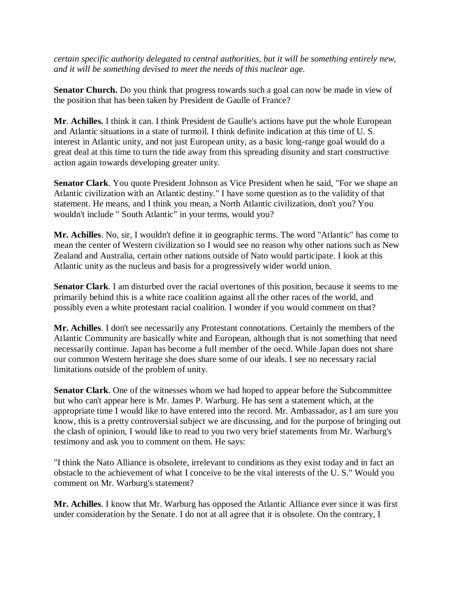*certain specific authority delegated to central authorities, but it will be something entirely new, and it will be something devised to meet the needs of this nuclear age.*

**Senator Church.** Do you think that progress towards such a goal can now be made in view of the position that has been taken by President de Gaulle of France?

**Mr**. **Achilles.** I think it can. I think President de Gaulle's actions have put the whole European and Atlantic situations in a state of turmoil. I think definite indication at this time of U. S. interest in Atlantic unity, and not just European unity, as a basic long-range goal would do a great deal at this time to turn the tide away from this spreading disunity and start constructive action again towards developing greater unity.

**Senator Clark**. You quote President Johnson as Vice President when he said, "For we shape an Atlantic civilization with an Atlantic destiny." I have some question as to the validity of that statement. He means, and I think you mean, a North Atlantic civilization, don't you? You wouldn't include " South Atlantic" in your terms, would you?

**Mr. Achilles**. No, sir, I wouldn't define it in geographic terms. The word "Atlantic" has come to mean the center of Western civilization so I would see no reason why other nations such as New Zealand and Australia, certain other nations outside of Nato would participate. I look at this Atlantic unity as the nucleus and basis for a progressively wider world union.

**Senator Clark**. I am disturbed over the racial overtones of this position, because it seems to me primarily behind this is a white race coalition against all the other races of the world, and possibly even a white protestant racial coalition. I wonder if you would comment on that?

**Mr. Achilles**. I don't see necessarily any Protestant connotations. Certainly the members of the Atlantic Community are basically white and European, although that is not something that need necessarily continue. Japan has become a full member of the oecd. While Japan does not share our common Western heritage she does share some of our ideals. I see no necessary racial limitations outside of the problem of unity.

**Senator Clark**. One of the witnesses whom we had hoped to appear before the Subcommittee but who can't appear here is Mr. James P. Warburg. He has sent a statement which, at the appropriate time I would like to have entered into the record. Mr. Ambassador, as I am sure you know, this is a pretty controversial subject we are discussing, and for the purpose of bringing out the clash of opinion, I would like to read to you two very brief statements from Mr. Warburg's testimony and ask you to comment on them. He says:

"I think the Nato Alliance is obsolete, irrelevant to conditions as they exist today and in fact an obstacle to the achievement of what I conceive to be the vital interests of the U. S." Would you comment on Mr. Warburg's statement?

**Mr. Achilles**. I know that Mr. Warburg has opposed the Atlantic Alliance ever since it was first under consideration by the Senate. I do not at all agree that it is obsolete. On the contrary, I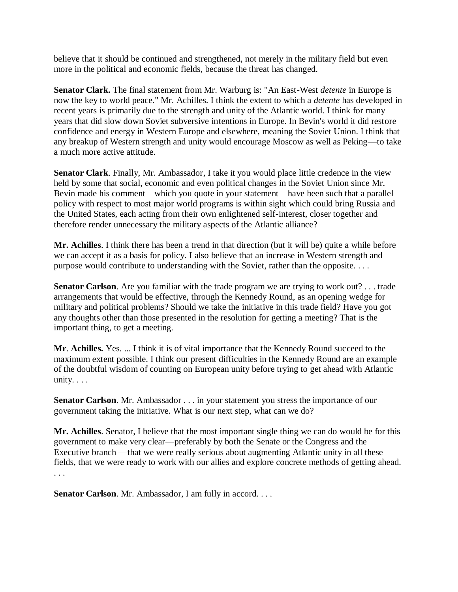believe that it should be continued and strengthened, not merely in the military field but even more in the political and economic fields, because the threat has changed.

**Senator Clark.** The final statement from Mr. Warburg is: "An East-West *detente* in Europe is now the key to world peace." Mr. Achilles. I think the extent to which a *detente* has developed in recent years is primarily due to the strength and unity of the Atlantic world. I think for many years that did slow down Soviet subversive intentions in Europe. In Bevin's world it did restore confidence and energy in Western Europe and elsewhere, meaning the Soviet Union. I think that any breakup of Western strength and unity would encourage Moscow as well as Peking—to take a much more active attitude.

**Senator Clark**. Finally, Mr. Ambassador, I take it you would place little credence in the view held by some that social, economic and even political changes in the Soviet Union since Mr. Bevin made his comment—which you quote in your statement—have been such that a parallel policy with respect to most major world programs is within sight which could bring Russia and the United States, each acting from their own enlightened self-interest, closer together and therefore render unnecessary the military aspects of the Atlantic alliance?

**Mr. Achilles**. I think there has been a trend in that direction (but it will be) quite a while before we can accept it as a basis for policy. I also believe that an increase in Western strength and purpose would contribute to understanding with the Soviet, rather than the opposite. . . .

**Senator Carlson**. Are you familiar with the trade program we are trying to work out? . . . trade arrangements that would be effective, through the Kennedy Round, as an opening wedge for military and political problems? Should we take the initiative in this trade field? Have you got any thoughts other than those presented in the resolution for getting a meeting? That is the important thing, to get a meeting.

**Mr**. **Achilles.** Yes. ... I think it is of vital importance that the Kennedy Round succeed to the maximum extent possible. I think our present difficulties in the Kennedy Round are an example of the doubtful wisdom of counting on European unity before trying to get ahead with Atlantic unity. . . .

**Senator Carlson**. Mr. Ambassador . . . in your statement you stress the importance of our government taking the initiative. What is our next step, what can we do?

**Mr. Achilles**. Senator, I believe that the most important single thing we can do would be for this government to make very clear—preferably by both the Senate or the Congress and the Executive branch —that we were really serious about augmenting Atlantic unity in all these fields, that we were ready to work with our allies and explore concrete methods of getting ahead. . . .

**Senator Carlson.** Mr. Ambassador, I am fully in accord. . . .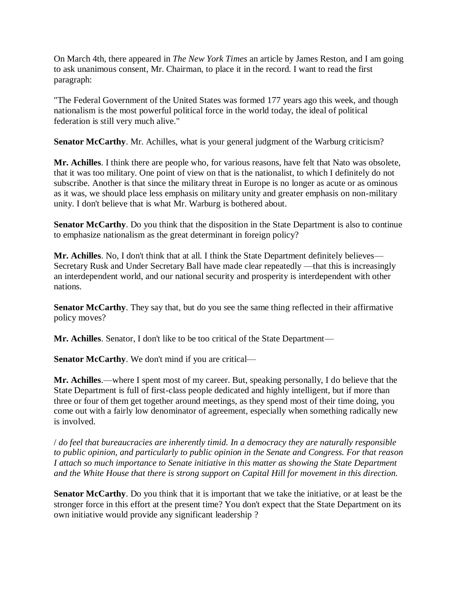On March 4th, there appeared in *The New York Times* an article by James Reston, and I am going to ask unanimous consent, Mr. Chairman, to place it in the record. I want to read the first paragraph:

"The Federal Government of the United States was formed 177 years ago this week, and though nationalism is the most powerful political force in the world today, the ideal of political federation is still very much alive."

**Senator McCarthy.** Mr. Achilles, what is your general judgment of the Warburg criticism?

**Mr. Achilles**. I think there are people who, for various reasons, have felt that Nato was obsolete, that it was too military. One point of view on that is the nationalist, to which I definitely do not subscribe. Another is that since the military threat in Europe is no longer as acute or as ominous as it was, we should place less emphasis on military unity and greater emphasis on non-military unity. I don't believe that is what Mr. Warburg is bothered about.

**Senator McCarthy**. Do you think that the disposition in the State Department is also to continue to emphasize nationalism as the great determinant in foreign policy?

**Mr. Achilles**. No, I don't think that at all. I think the State Department definitely believes— Secretary Rusk and Under Secretary Ball have made clear repeatedly —that this is increasingly an interdependent world, and our national security and prosperity is interdependent with other nations.

**Senator McCarthy**. They say that, but do you see the same thing reflected in their affirmative policy moves?

**Mr. Achilles**. Senator, I don't like to be too critical of the State Department—

**Senator McCarthy**. We don't mind if you are critical—

**Mr. Achilles**.—where I spent most of my career. But, speaking personally, I do believe that the State Department is full of first-class people dedicated and highly intelligent, but if more than three or four of them get together around meetings, as they spend most of their time doing, you come out with a fairly low denominator of agreement, especially when something radically new is involved.

/ *do feel that bureaucracies are inherently timid. In a democracy they are naturally responsible to public opinion, and particularly to public opinion in the Senate and Congress. For that reason I attach so much importance to Senate initiative in this matter as showing the State Department and the White House that there is strong support on Capital Hill for movement in this direction.*

**Senator McCarthy**. Do you think that it is important that we take the initiative, or at least be the stronger force in this effort at the present time? You don't expect that the State Department on its own initiative would provide any significant leadership ?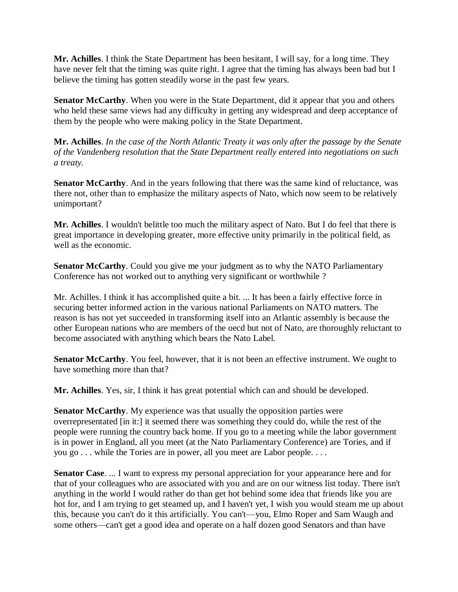**Mr. Achilles**. I think the State Department has been hesitant, I will say, for a long time. They have never felt that the timing was quite right. I agree that the timing has always been bad but I believe the timing has gotten steadily worse in the past few years.

**Senator McCarthy.** When you were in the State Department, did it appear that you and others who held these same views had any difficulty in getting any widespread and deep acceptance of them by the people who were making policy in the State Department.

**Mr. Achilles**. *In the case of the North Atlantic Treaty it was only after the passage by the Senate of the Vandenberg resolution that the State Department really entered into negotiations on such a treaty.*

**Senator McCarthy**. And in the years following that there was the same kind of reluctance, was there not, other than to emphasize the military aspects of Nato, which now seem to be relatively unimportant?

**Mr. Achilles**. I wouldn't belittle too much the military aspect of Nato. But I do feel that there is great importance in developing greater, more effective unity primarily in the political field, as well as the economic.

**Senator McCarthy**. Could you give me your judgment as to why the NATO Parliamentary Conference has not worked out to anything very significant or worthwhile ?

Mr. Achilles. I think it has accomplished quite a bit. ... It has been a fairly effective force in securing better informed action in the various national Parliaments on NATO matters. The reason is has not yet succeeded in transforming itself into an Atlantic assembly is because the other European nations who are members of the oecd but not of Nato, are thoroughly reluctant to become associated with anything which bears the Nato Label.

**Senator McCarthy**. You feel, however, that it is not been an effective instrument. We ought to have something more than that?

**Mr. Achilles**. Yes, sir, I think it has great potential which can and should be developed.

**Senator McCarthy**. My experience was that usually the opposition parties were overrepresentated [in it:] it seemed there was something they could do, while the rest of the people were running the country back home. If you go to a meeting while the labor government is in power in England, all you meet (at the Nato Parliamentary Conference) are Tories, and if you go . . . while the Tories are in power, all you meet are Labor people. . . .

**Senator Case**. ... I want to express my personal appreciation for your appearance here and for that of your colleagues who are associated with you and are on our witness list today. There isn't anything in the world I would rather do than get hot behind some idea that friends like you are hot for, and I am trying to get steamed up, and I haven't yet, I wish you would steam me up about this, because you can't do it this artificially. You can't—you, Elmo Roper and Sam Waugh and some others—can't get a good idea and operate on a half dozen good Senators and than have